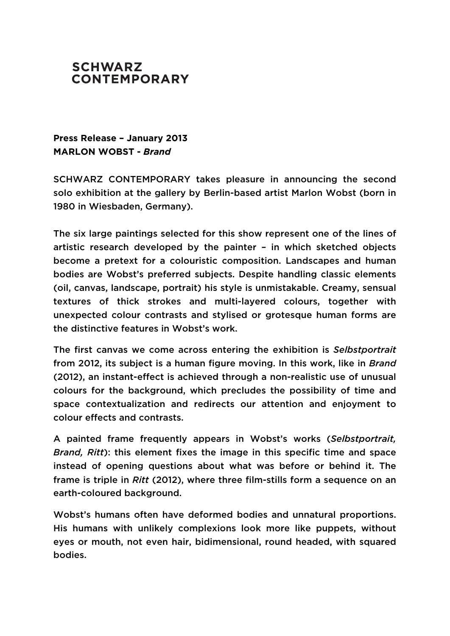

## **Press Release – January 2013 MARLON WOBST -** *Brand*

SCHWARZ CONTEMPORARY takes pleasure in announcing the second solo exhibition at the gallery by Berlin-based artist Marlon Wobst (born in 1980 in Wiesbaden, Germany).

The six large paintings selected for this show represent one of the lines of artistic research developed by the painter – in which sketched objects become a pretext for a colouristic composition. Landscapes and human bodies are Wobst's preferred subjects. Despite handling classic elements (oil, canvas, landscape, portrait) his style is unmistakable. Creamy, sensual textures of thick strokes and multi-layered colours, together with unexpected colour contrasts and stylised or grotesque human forms are the distinctive features in Wobst's work.

The first canvas we come across entering the exhibition is *Selbstportrait* from 2012, its subject is a human figure moving. In this work, like in *Brand* (2012), an instant-effect is achieved through a non-realistic use of unusual colours for the background, which precludes the possibility of time and space contextualization and redirects our attention and enjoyment to colour effects and contrasts.

A painted frame frequently appears in Wobst's works (*Selbstportrait, Brand, Ritt*): this element fixes the image in this specific time and space instead of opening questions about what was before or behind it. The frame is triple in *Ritt* (2012), where three film-stills form a sequence on an earth-coloured background.

Wobst's humans often have deformed bodies and unnatural proportions. His humans with unlikely complexions look more like puppets, without eyes or mouth, not eyen hair, bidimensional, round headed, with squared bodies.